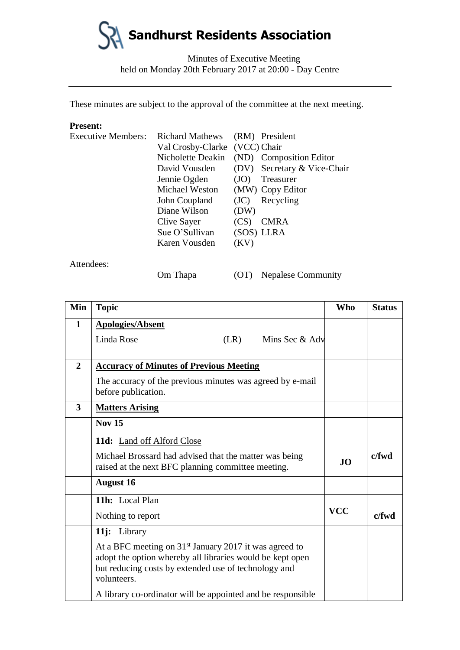

Minutes of Executive Meeting held on Monday 20th February 2017 at 20:00 - Day Centre

These minutes are subject to the approval of the committee at the next meeting.

#### **Present:**

| <b>Executive Members:</b> | <b>Richard Mathews</b>        |      | (RM) President          |
|---------------------------|-------------------------------|------|-------------------------|
|                           | Val Crosby-Clarke (VCC) Chair |      |                         |
|                           | Nicholette Deakin             |      | (ND) Composition Editor |
|                           | David Vousden                 | (DV) | Secretary & Vice-Chair  |
|                           | Jennie Ogden                  | (JO) | Treasurer               |
|                           | Michael Weston                |      | (MW) Copy Editor        |
|                           | John Coupland                 | (JC) | Recycling               |
|                           | Diane Wilson                  | (DW) |                         |
|                           | Clive Sayer                   | (CS) | <b>CMRA</b>             |
|                           | Sue O'Sullivan                |      | (SOS) LLRA              |
|                           | Karen Vousden                 | (KV) |                         |
|                           |                               |      |                         |

Attendees:

Om Thapa (OT) Nepalese Community

| Min            | <b>Topic</b>                                                                                                                                                                                 | <b>Who</b> | <b>Status</b> |
|----------------|----------------------------------------------------------------------------------------------------------------------------------------------------------------------------------------------|------------|---------------|
| 1              | <b>Apologies/Absent</b>                                                                                                                                                                      |            |               |
|                | Linda Rose<br>Mins Sec & Adv<br>(LR)                                                                                                                                                         |            |               |
|                |                                                                                                                                                                                              |            |               |
| $\overline{2}$ | <b>Accuracy of Minutes of Previous Meeting</b>                                                                                                                                               |            |               |
|                | The accuracy of the previous minutes was agreed by e-mail<br>before publication.                                                                                                             |            |               |
| 3              | <b>Matters Arising</b>                                                                                                                                                                       |            |               |
|                | <b>Nov 15</b>                                                                                                                                                                                |            |               |
|                | <b>11d:</b> Land off Alford Close                                                                                                                                                            |            |               |
|                | Michael Brossard had advised that the matter was being<br>raised at the next BFC planning committee meeting.                                                                                 |            | $c$ /fwd      |
|                | <b>August 16</b>                                                                                                                                                                             |            |               |
|                | 11h: Local Plan                                                                                                                                                                              |            |               |
|                | Nothing to report                                                                                                                                                                            | <b>VCC</b> | $c$ fwd       |
|                | 11j: Library                                                                                                                                                                                 |            |               |
|                | At a BFC meeting on $31st$ January 2017 it was agreed to<br>adopt the option whereby all libraries would be kept open<br>but reducing costs by extended use of technology and<br>volunteers. |            |               |
|                | A library co-ordinator will be appointed and be responsible                                                                                                                                  |            |               |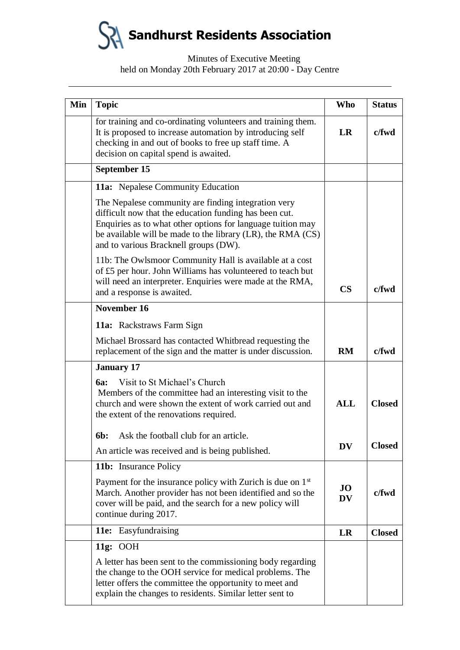**Sandhurst Residents Association**

# Minutes of Executive Meeting held on Monday 20th February 2017 at 20:00 - Day Centre

| Min | <b>Topic</b>                                                                                                                                                                                                                                                                         | <b>Who</b>             | <b>Status</b> |
|-----|--------------------------------------------------------------------------------------------------------------------------------------------------------------------------------------------------------------------------------------------------------------------------------------|------------------------|---------------|
|     | for training and co-ordinating volunteers and training them.<br>It is proposed to increase automation by introducing self<br>checking in and out of books to free up staff time. A<br>decision on capital spend is awaited.                                                          | <b>LR</b>              | c/fwd         |
|     | September 15                                                                                                                                                                                                                                                                         |                        |               |
|     | 11a: Nepalese Community Education                                                                                                                                                                                                                                                    |                        |               |
|     | The Nepalese community are finding integration very<br>difficult now that the education funding has been cut.<br>Enquiries as to what other options for language tuition may<br>be available will be made to the library (LR), the RMA (CS)<br>and to various Bracknell groups (DW). |                        |               |
|     | 11b: The Owlsmoor Community Hall is available at a cost<br>of £5 per hour. John Williams has volunteered to teach but<br>will need an interpreter. Enquiries were made at the RMA,<br>and a response is awaited.                                                                     | $\overline{\text{CS}}$ | $c$ /fwd      |
|     | November 16                                                                                                                                                                                                                                                                          |                        |               |
|     | 11a: Rackstraws Farm Sign                                                                                                                                                                                                                                                            |                        |               |
|     | Michael Brossard has contacted Whitbread requesting the<br>replacement of the sign and the matter is under discussion.                                                                                                                                                               | RM                     | $c$ /fwd      |
|     | <b>January 17</b>                                                                                                                                                                                                                                                                    |                        |               |
|     | Visit to St Michael's Church<br><b>6a:</b><br>Members of the committee had an interesting visit to the<br>church and were shown the extent of work carried out and<br>the extent of the renovations required.                                                                        | <b>ALL</b>             | <b>Closed</b> |
|     | Ask the football club for an article.<br><b>6b:</b>                                                                                                                                                                                                                                  |                        |               |
|     | An article was received and is being published.                                                                                                                                                                                                                                      | <b>DV</b>              | <b>Closed</b> |
|     | <b>11b:</b> Insurance Policy                                                                                                                                                                                                                                                         |                        |               |
|     | Payment for the insurance policy with Zurich is due on $1st$<br>March. Another provider has not been identified and so the<br>cover will be paid, and the search for a new policy will<br>continue during 2017.                                                                      | <b>JO</b><br><b>DV</b> | c/fwd         |
|     | 11e: Easyfundraising                                                                                                                                                                                                                                                                 | LR                     | <b>Closed</b> |
|     | 11g: $OOH$                                                                                                                                                                                                                                                                           |                        |               |
|     | A letter has been sent to the commissioning body regarding<br>the change to the OOH service for medical problems. The<br>letter offers the committee the opportunity to meet and<br>explain the changes to residents. Similar letter sent to                                         |                        |               |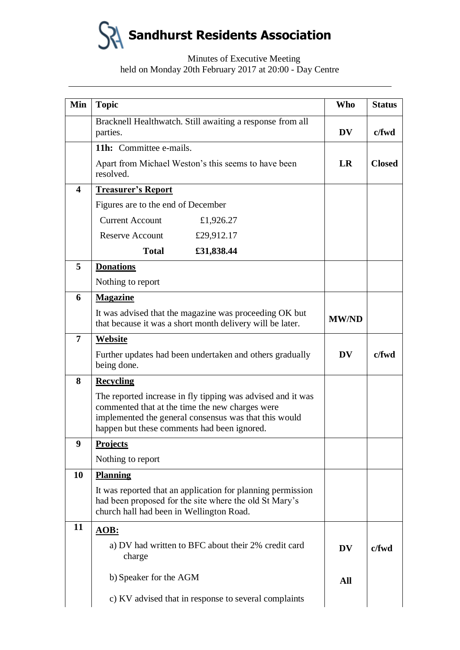**Sandhurst Residents Association**

# Minutes of Executive Meeting held on Monday 20th February 2017 at 20:00 - Day Centre

| Min              | <b>Topic</b>                                                                                                                                                                                                           | <b>Who</b>   | <b>Status</b> |
|------------------|------------------------------------------------------------------------------------------------------------------------------------------------------------------------------------------------------------------------|--------------|---------------|
|                  | Bracknell Healthwatch. Still awaiting a response from all<br>parties.                                                                                                                                                  | <b>DV</b>    | $c$ fwd       |
|                  | 11h: Committee e-mails.                                                                                                                                                                                                |              |               |
|                  | Apart from Michael Weston's this seems to have been<br>resolved.                                                                                                                                                       | LR           | <b>Closed</b> |
| $\boldsymbol{4}$ | <b>Treasurer's Report</b>                                                                                                                                                                                              |              |               |
|                  | Figures are to the end of December                                                                                                                                                                                     |              |               |
|                  | <b>Current Account</b><br>£1,926.27                                                                                                                                                                                    |              |               |
|                  | Reserve Account<br>£29,912.17                                                                                                                                                                                          |              |               |
|                  | <b>Total</b><br>£31,838.44                                                                                                                                                                                             |              |               |
| 5                | <b>Donations</b>                                                                                                                                                                                                       |              |               |
|                  | Nothing to report                                                                                                                                                                                                      |              |               |
| 6                | <b>Magazine</b>                                                                                                                                                                                                        |              |               |
|                  | It was advised that the magazine was proceeding OK but<br>that because it was a short month delivery will be later.                                                                                                    | <b>MW/ND</b> |               |
| $\overline{7}$   | <b>Website</b>                                                                                                                                                                                                         |              |               |
|                  | Further updates had been undertaken and others gradually<br>being done.                                                                                                                                                | DV           | $c$ /fwd      |
| 8                | <b>Recycling</b>                                                                                                                                                                                                       |              |               |
|                  | The reported increase in fly tipping was advised and it was<br>commented that at the time the new charges were<br>implemented the general consensus was that this would<br>happen but these comments had been ignored. |              |               |
| 9                | <b>Projects</b>                                                                                                                                                                                                        |              |               |
|                  | Nothing to report                                                                                                                                                                                                      |              |               |
| 10               | <b>Planning</b>                                                                                                                                                                                                        |              |               |
|                  | It was reported that an application for planning permission<br>had been proposed for the site where the old St Mary's<br>church hall had been in Wellington Road.                                                      |              |               |
| 11               | <b>AOB:</b>                                                                                                                                                                                                            |              |               |
|                  | a) DV had written to BFC about their 2% credit card<br>charge                                                                                                                                                          | <b>DV</b>    | c/fwd         |
|                  | b) Speaker for the AGM                                                                                                                                                                                                 | All          |               |
|                  | c) KV advised that in response to several complaints                                                                                                                                                                   |              |               |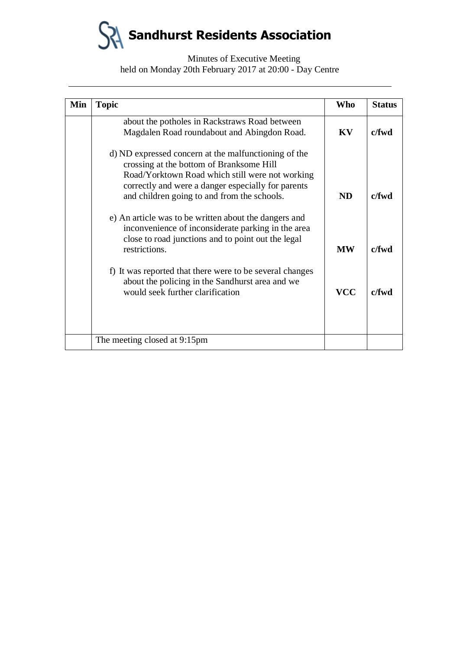**Sandhurst Residents Association**

# Minutes of Executive Meeting held on Monday 20th February 2017 at 20:00 - Day Centre

| Min | <b>Topic</b>                                                                                                                                                                                                                                             | <b>Who</b> | <b>Status</b> |
|-----|----------------------------------------------------------------------------------------------------------------------------------------------------------------------------------------------------------------------------------------------------------|------------|---------------|
|     | about the potholes in Rackstraws Road between<br>Magdalen Road roundabout and Abingdon Road.                                                                                                                                                             | KV         | c/fwd         |
|     | d) ND expressed concern at the malfunctioning of the<br>crossing at the bottom of Branksome Hill<br>Road/Yorktown Road which still were not working<br>correctly and were a danger especially for parents<br>and children going to and from the schools. | <b>ND</b>  | c/fwd         |
|     | e) An article was to be written about the dangers and<br>inconvenience of inconsiderate parking in the area<br>close to road junctions and to point out the legal<br>restrictions.                                                                       | <b>MW</b>  | c/fwd         |
|     | f) It was reported that there were to be several changes<br>about the policing in the Sandhurst area and we<br>would seek further clarification                                                                                                          | <b>VCC</b> | $c$ fwd       |
|     | The meeting closed at 9:15pm                                                                                                                                                                                                                             |            |               |